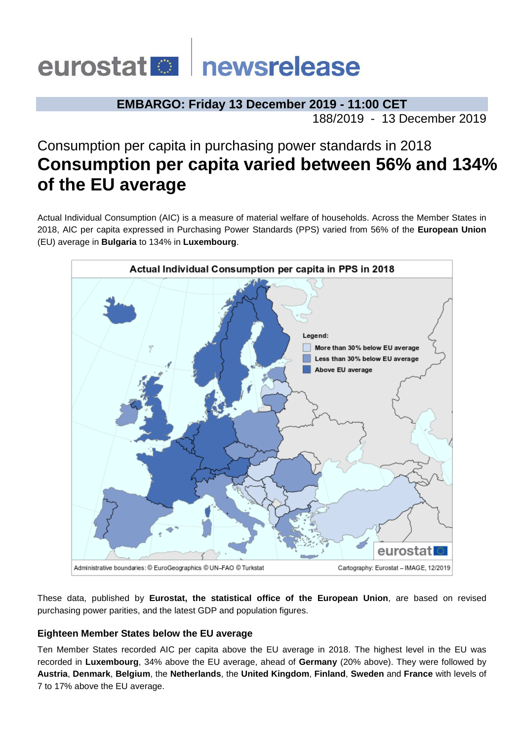# eurostat **De** newsrelease

# **EMBARGO: Friday 13 December 2019 - 11:00 CET**

188/2019 - 13 December 2019

# Consumption per capita in purchasing power standards in 2018 **Consumption per capita varied between 56% and 134% of the EU average**

Actual Individual Consumption (AIC) is a measure of material welfare of households. Across the Member States in 2018, AIC per capita expressed in Purchasing Power Standards (PPS) varied from 56% of the **European Union**  (EU) average in **Bulgaria** to 134% in **Luxembourg**.



These data, published by **Eurostat, the statistical office of the European Union**, are based on revised purchasing power parities, and the latest GDP and population figures.

## **Eighteen Member States below the EU average**

Ten Member States recorded AIC per capita above the EU average in 2018. The highest level in the EU was recorded in **Luxembourg**, 34% above the EU average, ahead of **Germany** (20% above). They were followed by **Austria**, **Denmark**, **Belgium**, the **Netherlands**, the **United Kingdom**, **Finland**, **Sweden** and **France** with levels of 7 to 17% above the EU average.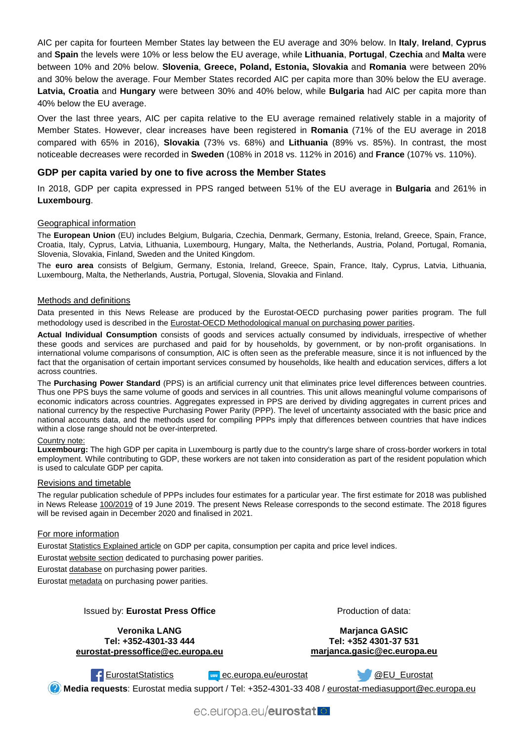AIC per capita for fourteen Member States lay between the EU average and 30% below. In **Italy**, **Ireland**, **Cyprus** and **Spain** the levels were 10% or less below the EU average, while **Lithuania**, **Portugal**, **Czechia** and **Malta** were between 10% and 20% below. **Slovenia**, **Greece, Poland, Estonia, Slovakia** and **Romania** were between 20% and 30% below the average. Four Member States recorded AIC per capita more than 30% below the EU average. **Latvia, Croatia** and **Hungary** were between 30% and 40% below, while **Bulgaria** had AIC per capita more than 40% below the EU average.

Over the last three years, AIC per capita relative to the EU average remained relatively stable in a majority of Member States. However, clear increases have been registered in **Romania** (71% of the EU average in 2018 compared with 65% in 2016), **Slovakia** (73% vs. 68%) and **Lithuania** (89% vs. 85%). In contrast, the most noticeable decreases were recorded in **Sweden** (108% in 2018 vs. 112% in 2016) and **France** (107% vs. 110%).

#### **GDP per capita varied by one to five across the Member States**

In 2018, GDP per capita expressed in PPS ranged between 51% of the EU average in **Bulgaria** and 261% in **Luxembourg**.

#### Geographical information

The **European Union** (EU) includes Belgium, Bulgaria, Czechia, Denmark, Germany, Estonia, Ireland, Greece, Spain, France, Croatia, Italy, Cyprus, Latvia, Lithuania, Luxembourg, Hungary, Malta, the Netherlands, Austria, Poland, Portugal, Romania, Slovenia, Slovakia, Finland, Sweden and the United Kingdom.

The **euro area** consists of Belgium, Germany, Estonia, Ireland, Greece, Spain, France, Italy, Cyprus, Latvia, Lithuania, Luxembourg, Malta, the Netherlands, Austria, Portugal, Slovenia, Slovakia and Finland.

#### Methods and definitions

Data presented in this News Release are produced by the Eurostat-OECD purchasing power parities program. The full methodology used is described in th[e Eurostat-OECD Methodological manual on purchasing power parities](https://ec.europa.eu/eurostat/product?code=KS-RA-12-023&language=en).

**Actual Individual Consumption** consists of goods and services actually consumed by individuals, irrespective of whether these goods and services are purchased and paid for by households, by government, or by non-profit organisations. In international volume comparisons of consumption, AIC is often seen as the preferable measure, since it is not influenced by the fact that the organisation of certain important services consumed by households, like health and education services, differs a lot across countries.

The **Purchasing Power Standard** (PPS) is an artificial currency unit that eliminates price level differences between countries. Thus one PPS buys the same volume of goods and services in all countries. This unit allows meaningful volume comparisons of economic indicators across countries. Aggregates expressed in PPS are derived by dividing aggregates in current prices and national currency by the respective Purchasing Power Parity (PPP). The level of uncertainty associated with the basic price and national accounts data, and the methods used for compiling PPPs imply that differences between countries that have indices within a close range should not be over-interpreted.

#### Country note:

**Luxembourg:** The high GDP per capita in Luxembourg is partly due to the country's large share of cross-border workers in total employment. While contributing to GDP, these workers are not taken into consideration as part of the resident population which is used to calculate GDP per capita.

#### Revisions and timetable

The regular publication schedule of PPPs includes four estimates for a particular year. The first estimate for 2018 was published in News Release [100/2019](https://ec.europa.eu/eurostat/documents/2995521/9832322/2-19062019-BP-EN.pdf/f8d57e94-1848-4d57-aca2-55cd4b918de8) of 19 June 2019. The present News Release corresponds to the second estimate. The 2018 figures will be revised again in December 2020 and finalised in 2021.

#### For more information

Eurosta[t Statistics Explained article](https://ec.europa.eu/eurostat/statistics-explained/index.php/GDP_per_capita,_consumption_per_capita_and_price_level_indices) on GDP per capita, consumption per capita and price level indices.

Eurosta[t website section](https://ec.europa.eu/eurostat/web/purchasing-power-parities/overview) dedicated to purchasing power parities.

Eurosta[t database](https://ec.europa.eu/eurostat/web/purchasing-power-parities/data/database) on purchasing power parities.

Eurosta[t metadata](https://ec.europa.eu/eurostat/cache/metadata/en/prc_ppp_esms.htm) on purchasing power parities.

#### Issued by: **Eurostat Press Office**

**Veronika LANG Tel: +352-4301-33 444 [eurostat-pressoffice@ec.europa.eu](mailto:eurostat-pressoffice@ec.europa.eu)** Production of data:

**Marjanca GASIC Tel: +352 4301-37 531 [marjanca.gasic@ec.europa.eu](mailto:marjanca.gasic@ec.europa.eu)**

[EurostatStatistics](https://www.facebook.com/EurostatStatistics) [ec.europa.eu/eurostat](https://ec.europa.eu/eurostat) [@EU\\_Eurostat](https://twitter.com/EU_Eurostat)

**Media requests**: Eurostat media support / Tel: +352-4301-33 408 / [eurostat-mediasupport@ec.europa.eu](mailto:eurostat-mediasupport@ec.europa.eu)

ec.europa.eu/eurostat